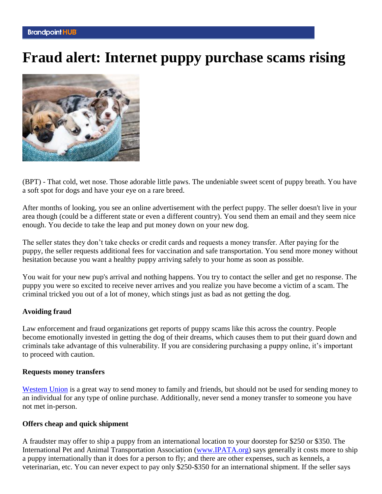# **Fraud alert: Internet puppy purchase scams rising**



(BPT) - That cold, wet nose. Those adorable little paws. The undeniable sweet scent of puppy breath. You have a soft spot for dogs and have your eye on a rare breed.

After months of looking, you see an online advertisement with the perfect puppy. The seller doesn't live in your area though (could be a different state or even a different country). You send them an email and they seem nice enough. You decide to take the leap and put money down on your new dog.

The seller states they don't take checks or credit cards and requests a money transfer. After paying for the puppy, the seller requests additional fees for vaccination and safe transportation. You send more money without hesitation because you want a healthy puppy arriving safely to your home as soon as possible.

You wait for your new pup's arrival and nothing happens. You try to contact the seller and get no response. The puppy you were so excited to receive never arrives and you realize you have become a victim of a scam. The criminal tricked you out of a lot of money, which stings just as bad as not getting the dog.

### **Avoiding fraud**

Law enforcement and fraud organizations get reports of puppy scams like this across the country. People become emotionally invested in getting the dog of their dreams, which causes them to put their guard down and criminals take advantage of this vulnerability. If you are considering purchasing a puppy online, it's important to proceed with caution.

### **Requests money transfers**

[Western Union](https://www.westernunion.com/us/en/home.html) is a great way to send money to family and friends, but should not be used for sending money to an individual for any type of online purchase. Additionally, never send a money transfer to someone you have not met in-person.

### **Offers cheap and quick shipment**

A fraudster may offer to ship a puppy from an international location to your doorstep for \$250 or \$350. The International Pet and Animal Transportation Association [\(www.IPATA.org\)](https://www.ipata.org/pet-scams) says generally it costs more to ship a puppy internationally than it does for a person to fly; and there are other expenses, such as kennels, a veterinarian, etc. You can never expect to pay only \$250-\$350 for an international shipment. If the seller says